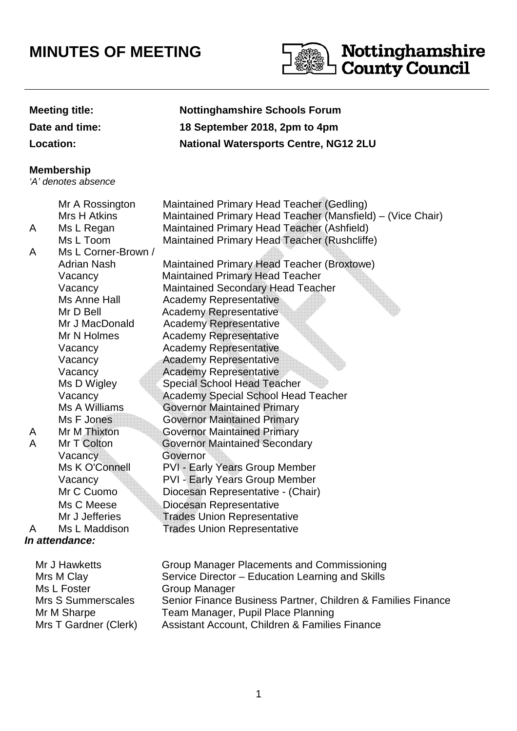## **MINUTES OF MEETING**



## **Meeting title: Nottinghamshire Schools Forum Date and time: 18 September 2018, 2pm to 4pm Location: National Watersports Centre, NG12 2LU In attendance:**  Mr J Hawketts Group Manager Placements and Commissioning **Membership** 'A' denotes absence Mr A Rossington Maintained Primary Head Teacher (Gedling) Mrs H Atkins Maintained Primary Head Teacher (Mansfield) – (Vice Chair) A Ms L Regan Maintained Primary Head Teacher (Ashfield) Ms L Toom Maintained Primary Head Teacher (Rushcliffe) A Ms L Corner-Brown / Adrian Nash Maintained Primary Head Teacher (Broxtowe) Vacancy Maintained Primary Head Teacher Vacancy Maintained Secondary Head Teacher Ms Anne Hall Academy Representative Mr D Bell **Academy Representative** Mr J MacDonald Academy Representative Mr N Holmes Academy Representative Vacancy Academy Representative Vacancy Academy Representative Vacancy **Academy Representative** Ms D Wigley Special School Head Teacher Vacancy Academy Special School Head Teacher Ms A Williams Governor Maintained Primary Ms F Jones **Governor Maintained Primary** A Mr M Thixton Governor Maintained Primary A Mr T Colton Governor Maintained Secondary Vacancy Governor Ms K O'Connell PVI - Early Years Group Member Vacancy PVI - Early Years Group Member Mr C Cuomo Diocesan Representative - (Chair) Ms C Meese **Diocesan Representative** Mr J Jefferies **Trades Union Representative** A Ms L Maddison Trades Union Representative

| <b>IVII J HAWKELLS</b> | Group Manager Placements and Commissioning                   |
|------------------------|--------------------------------------------------------------|
| Mrs M Clay             | Service Director - Education Learning and Skills             |
| Ms L Foster            | Group Manager                                                |
| Mrs S Summerscales     | Senior Finance Business Partner, Children & Families Finance |
| Mr M Sharpe            | Team Manager, Pupil Place Planning                           |
| Mrs T Gardner (Clerk)  | Assistant Account, Children & Families Finance               |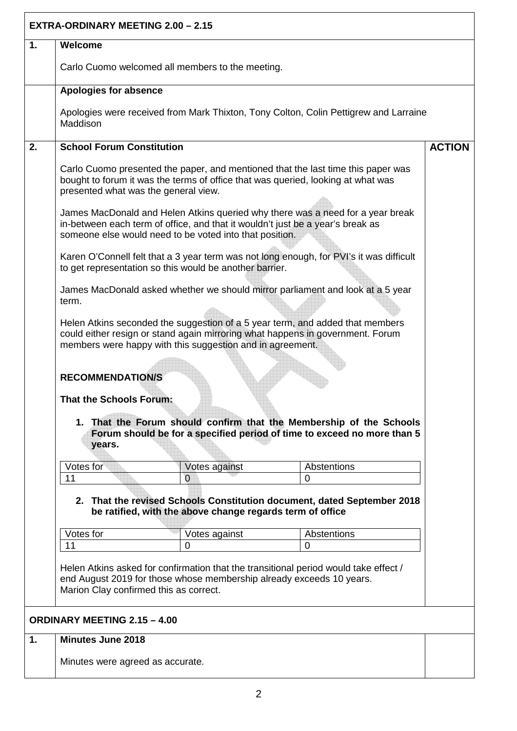|                | <b>EXTRA-ORDINARY MEETING 2.00 - 2.15</b> |                                                                      |                                                                                                                                                                                                                                                        |               |
|----------------|-------------------------------------------|----------------------------------------------------------------------|--------------------------------------------------------------------------------------------------------------------------------------------------------------------------------------------------------------------------------------------------------|---------------|
| 1.             | Welcome                                   |                                                                      |                                                                                                                                                                                                                                                        |               |
|                |                                           | Carlo Cuomo welcomed all members to the meeting.                     |                                                                                                                                                                                                                                                        |               |
|                | <b>Apologies for absence</b>              |                                                                      |                                                                                                                                                                                                                                                        |               |
|                | Maddison                                  |                                                                      | Apologies were received from Mark Thixton, Tony Colton, Colin Pettigrew and Larraine                                                                                                                                                                   |               |
| 2.             | <b>School Forum Constitution</b>          |                                                                      |                                                                                                                                                                                                                                                        | <b>ACTION</b> |
|                | presented what was the general view.      |                                                                      | Carlo Cuomo presented the paper, and mentioned that the last time this paper was<br>bought to forum it was the terms of office that was queried, looking at what was<br>James MacDonald and Helen Atkins queried why there was a need for a year break |               |
|                |                                           | someone else would need to be voted into that position.              | in-between each term of office, and that it wouldn't just be a year's break as                                                                                                                                                                         |               |
|                |                                           | to get representation so this would be another barrier.              | Karen O'Connell felt that a 3 year term was not long enough, for PVI's it was difficult                                                                                                                                                                |               |
|                | term.                                     |                                                                      | James MacDonald asked whether we should mirror parliament and look at a 5 year                                                                                                                                                                         |               |
|                |                                           | members were happy with this suggestion and in agreement.            | Helen Atkins seconded the suggestion of a 5 year term, and added that members<br>could either resign or stand again mirroring what happens in government. Forum                                                                                        |               |
|                | <b>RECOMMENDATION/S</b>                   |                                                                      |                                                                                                                                                                                                                                                        |               |
|                | <b>That the Schools Forum:</b>            |                                                                      |                                                                                                                                                                                                                                                        |               |
|                | years.                                    |                                                                      | 1. That the Forum should confirm that the Membership of the Schools<br>Forum should be for a specified period of time to exceed no more than 5                                                                                                         |               |
|                | Votes for                                 | Votes against                                                        | Abstentions                                                                                                                                                                                                                                            |               |
|                | 11                                        | $\overline{0}$                                                       | $\overline{0}$                                                                                                                                                                                                                                         |               |
|                |                                           | be ratified, with the above change regards term of office            | 2. That the revised Schools Constitution document, dated September 2018                                                                                                                                                                                |               |
|                | Votes for                                 | Votes against                                                        | Abstentions                                                                                                                                                                                                                                            |               |
|                | 11                                        | 0                                                                    | $\Omega$                                                                                                                                                                                                                                               |               |
|                | Marion Clay confirmed this as correct.    | end August 2019 for those whose membership already exceeds 10 years. | Helen Atkins asked for confirmation that the transitional period would take effect /                                                                                                                                                                   |               |
|                | <b>ORDINARY MEETING 2.15 - 4.00</b>       |                                                                      |                                                                                                                                                                                                                                                        |               |
| $\mathbf{1}$ . | Minutes June 2018                         |                                                                      |                                                                                                                                                                                                                                                        |               |
|                | Minutes were agreed as accurate.          |                                                                      |                                                                                                                                                                                                                                                        |               |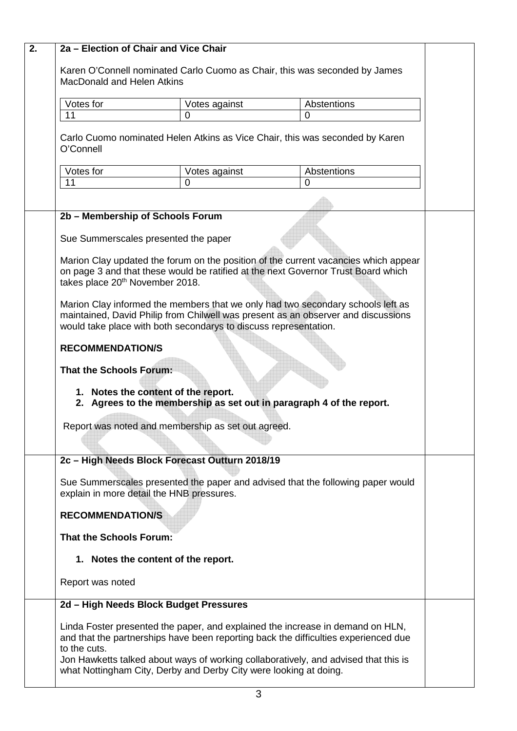| 2. | 2a - Election of Chair and Vice Chair                                                                           |                                                                                                                                                                                                                                                              |                                                                                     |  |
|----|-----------------------------------------------------------------------------------------------------------------|--------------------------------------------------------------------------------------------------------------------------------------------------------------------------------------------------------------------------------------------------------------|-------------------------------------------------------------------------------------|--|
|    |                                                                                                                 |                                                                                                                                                                                                                                                              |                                                                                     |  |
|    | Karen O'Connell nominated Carlo Cuomo as Chair, this was seconded by James<br><b>MacDonald and Helen Atkins</b> |                                                                                                                                                                                                                                                              |                                                                                     |  |
|    |                                                                                                                 |                                                                                                                                                                                                                                                              |                                                                                     |  |
|    | Votes for                                                                                                       | Votes against                                                                                                                                                                                                                                                | Abstentions                                                                         |  |
|    | 11                                                                                                              | $\overline{0}$                                                                                                                                                                                                                                               | 0                                                                                   |  |
|    | Carlo Cuomo nominated Helen Atkins as Vice Chair, this was seconded by Karen<br>O'Connell                       |                                                                                                                                                                                                                                                              |                                                                                     |  |
|    | Votes for                                                                                                       | Votes against                                                                                                                                                                                                                                                | Abstentions                                                                         |  |
|    | 11                                                                                                              | 0                                                                                                                                                                                                                                                            | 0                                                                                   |  |
|    |                                                                                                                 |                                                                                                                                                                                                                                                              |                                                                                     |  |
|    | 2b - Membership of Schools Forum                                                                                |                                                                                                                                                                                                                                                              |                                                                                     |  |
|    | Sue Summerscales presented the paper                                                                            |                                                                                                                                                                                                                                                              |                                                                                     |  |
|    |                                                                                                                 |                                                                                                                                                                                                                                                              |                                                                                     |  |
|    | takes place 20 <sup>th</sup> November 2018.                                                                     | on page 3 and that these would be ratified at the next Governor Trust Board which                                                                                                                                                                            | Marion Clay updated the forum on the position of the current vacancies which appear |  |
|    |                                                                                                                 | Marion Clay informed the members that we only had two secondary schools left as<br>maintained, David Philip from Chilwell was present as an observer and discussions<br>would take place with both secondarys to discuss representation.                     |                                                                                     |  |
|    | <b>RECOMMENDATION/S</b>                                                                                         |                                                                                                                                                                                                                                                              |                                                                                     |  |
|    | <b>That the Schools Forum:</b>                                                                                  |                                                                                                                                                                                                                                                              |                                                                                     |  |
|    | 1. Notes the content of the report.                                                                             | 2. Agrees to the membership as set out in paragraph 4 of the report.                                                                                                                                                                                         |                                                                                     |  |
|    | Report was noted and membership as set out agreed.                                                              |                                                                                                                                                                                                                                                              |                                                                                     |  |
|    | 2c - High Needs Block Forecast Outturn 2018/19                                                                  |                                                                                                                                                                                                                                                              |                                                                                     |  |
|    |                                                                                                                 |                                                                                                                                                                                                                                                              |                                                                                     |  |
|    | explain in more detail the HNB pressures.                                                                       | Sue Summerscales presented the paper and advised that the following paper would                                                                                                                                                                              |                                                                                     |  |
|    | <b>RECOMMENDATION/S</b>                                                                                         |                                                                                                                                                                                                                                                              |                                                                                     |  |
|    | <b>That the Schools Forum:</b>                                                                                  |                                                                                                                                                                                                                                                              |                                                                                     |  |
|    | 1. Notes the content of the report.                                                                             |                                                                                                                                                                                                                                                              |                                                                                     |  |
|    | Report was noted                                                                                                |                                                                                                                                                                                                                                                              |                                                                                     |  |
|    | 2d - High Needs Block Budget Pressures                                                                          |                                                                                                                                                                                                                                                              |                                                                                     |  |
|    | to the cuts.                                                                                                    | Linda Foster presented the paper, and explained the increase in demand on HLN,<br>and that the partnerships have been reporting back the difficulties experienced due<br>Jon Hawketts talked about ways of working collaboratively, and advised that this is |                                                                                     |  |
|    |                                                                                                                 | what Nottingham City, Derby and Derby City were looking at doing.                                                                                                                                                                                            |                                                                                     |  |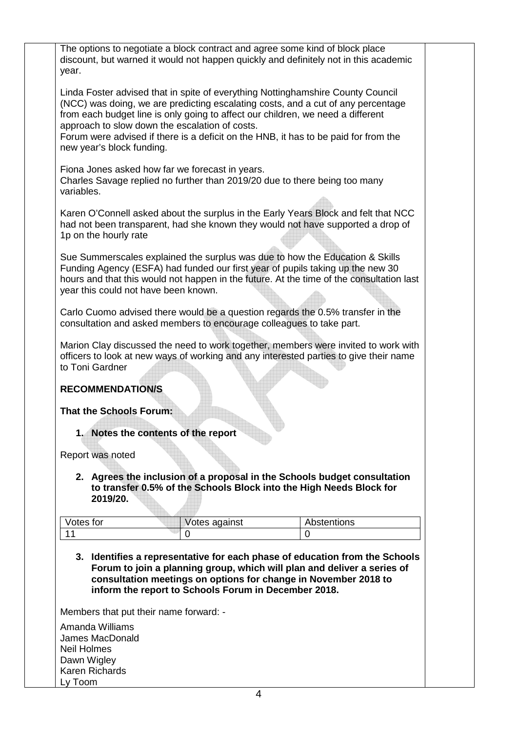| The options to negotiate a block contract and agree some kind of block place<br>discount, but warned it would not happen quickly and definitely not in this academic<br>year.                                                                                                                                                                                                                                                |  |
|------------------------------------------------------------------------------------------------------------------------------------------------------------------------------------------------------------------------------------------------------------------------------------------------------------------------------------------------------------------------------------------------------------------------------|--|
| Linda Foster advised that in spite of everything Nottinghamshire County Council<br>(NCC) was doing, we are predicting escalating costs, and a cut of any percentage<br>from each budget line is only going to affect our children, we need a different<br>approach to slow down the escalation of costs.<br>Forum were advised if there is a deficit on the HNB, it has to be paid for from the<br>new year's block funding. |  |
| Fiona Jones asked how far we forecast in years.<br>Charles Savage replied no further than 2019/20 due to there being too many<br>variables.                                                                                                                                                                                                                                                                                  |  |
| Karen O'Connell asked about the surplus in the Early Years Block and felt that NCC<br>had not been transparent, had she known they would not have supported a drop of<br>1p on the hourly rate                                                                                                                                                                                                                               |  |
| Sue Summerscales explained the surplus was due to how the Education & Skills<br>Funding Agency (ESFA) had funded our first year of pupils taking up the new 30<br>hours and that this would not happen in the future. At the time of the consultation last<br>year this could not have been known.                                                                                                                           |  |
| Carlo Cuomo advised there would be a question regards the 0.5% transfer in the<br>consultation and asked members to encourage colleagues to take part.                                                                                                                                                                                                                                                                       |  |
| Marion Clay discussed the need to work together, members were invited to work with<br>officers to look at new ways of working and any interested parties to give their name<br>to Toni Gardner                                                                                                                                                                                                                               |  |
| <b>RECOMMENDATION/S</b>                                                                                                                                                                                                                                                                                                                                                                                                      |  |
| <b>That the Schools Forum:</b>                                                                                                                                                                                                                                                                                                                                                                                               |  |
| 1. Notes the contents of the report                                                                                                                                                                                                                                                                                                                                                                                          |  |
| Report was noted                                                                                                                                                                                                                                                                                                                                                                                                             |  |
| 2. Agrees the inclusion of a proposal in the Schools budget consultation<br>to transfer 0.5% of the Schools Block into the High Needs Block for<br>2019/20.                                                                                                                                                                                                                                                                  |  |
| Votes for<br>Abstentions<br>Votes against                                                                                                                                                                                                                                                                                                                                                                                    |  |
| 11<br>$\overline{0}$<br>0<br>3. Identifies a representative for each phase of education from the Schools<br>Forum to join a planning group, which will plan and deliver a series of<br>consultation meetings on options for change in November 2018 to<br>inform the report to Schools Forum in December 2018.                                                                                                               |  |
| Members that put their name forward: -                                                                                                                                                                                                                                                                                                                                                                                       |  |
| Amanda Williams                                                                                                                                                                                                                                                                                                                                                                                                              |  |
| James MacDonald<br><b>Neil Holmes</b>                                                                                                                                                                                                                                                                                                                                                                                        |  |
| Dawn Wigley                                                                                                                                                                                                                                                                                                                                                                                                                  |  |
| Karen Richards<br>Ly Toom                                                                                                                                                                                                                                                                                                                                                                                                    |  |
|                                                                                                                                                                                                                                                                                                                                                                                                                              |  |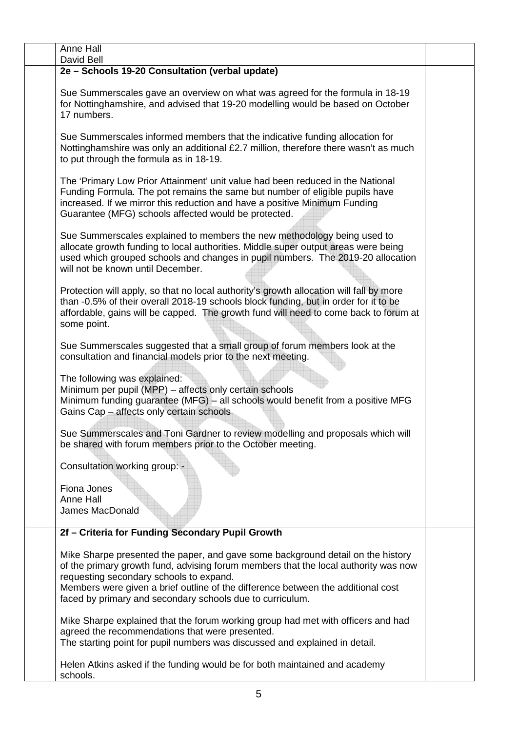| Anne Hall<br>David Bell                                                                                                                                                                                                                                                                                                                                            |  |
|--------------------------------------------------------------------------------------------------------------------------------------------------------------------------------------------------------------------------------------------------------------------------------------------------------------------------------------------------------------------|--|
| 2e - Schools 19-20 Consultation (verbal update)                                                                                                                                                                                                                                                                                                                    |  |
| Sue Summerscales gave an overview on what was agreed for the formula in 18-19<br>for Nottinghamshire, and advised that 19-20 modelling would be based on October<br>17 numbers.                                                                                                                                                                                    |  |
| Sue Summerscales informed members that the indicative funding allocation for<br>Nottinghamshire was only an additional £2.7 million, therefore there wasn't as much<br>to put through the formula as in 18-19.                                                                                                                                                     |  |
| The 'Primary Low Prior Attainment' unit value had been reduced in the National<br>Funding Formula. The pot remains the same but number of eligible pupils have<br>increased. If we mirror this reduction and have a positive Minimum Funding<br>Guarantee (MFG) schools affected would be protected.                                                               |  |
| Sue Summerscales explained to members the new methodology being used to<br>allocate growth funding to local authorities. Middle super output areas were being<br>used which grouped schools and changes in pupil numbers. The 2019-20 allocation<br>will not be known until December.                                                                              |  |
| Protection will apply, so that no local authority's growth allocation will fall by more<br>than -0.5% of their overall 2018-19 schools block funding, but in order for it to be<br>affordable, gains will be capped. The growth fund will need to come back to forum at<br>some point.                                                                             |  |
| Sue Summerscales suggested that a small group of forum members look at the<br>consultation and financial models prior to the next meeting.                                                                                                                                                                                                                         |  |
| The following was explained:<br>Minimum per pupil (MPP) - affects only certain schools<br>Minimum funding guarantee (MFG) - all schools would benefit from a positive MFG<br>Gains Cap - affects only certain schools                                                                                                                                              |  |
| Sue Summerscales and Toni Gardner to review modelling and proposals which will<br>be shared with forum members prior to the October meeting.                                                                                                                                                                                                                       |  |
| Consultation working group: -                                                                                                                                                                                                                                                                                                                                      |  |
| Fiona Jones<br>Anne Hall<br>James MacDonald                                                                                                                                                                                                                                                                                                                        |  |
| 2f - Criteria for Funding Secondary Pupil Growth                                                                                                                                                                                                                                                                                                                   |  |
| Mike Sharpe presented the paper, and gave some background detail on the history<br>of the primary growth fund, advising forum members that the local authority was now<br>requesting secondary schools to expand.<br>Members were given a brief outline of the difference between the additional cost<br>faced by primary and secondary schools due to curriculum. |  |
| Mike Sharpe explained that the forum working group had met with officers and had<br>agreed the recommendations that were presented.<br>The starting point for pupil numbers was discussed and explained in detail.                                                                                                                                                 |  |
| Helen Atkins asked if the funding would be for both maintained and academy<br>schools.                                                                                                                                                                                                                                                                             |  |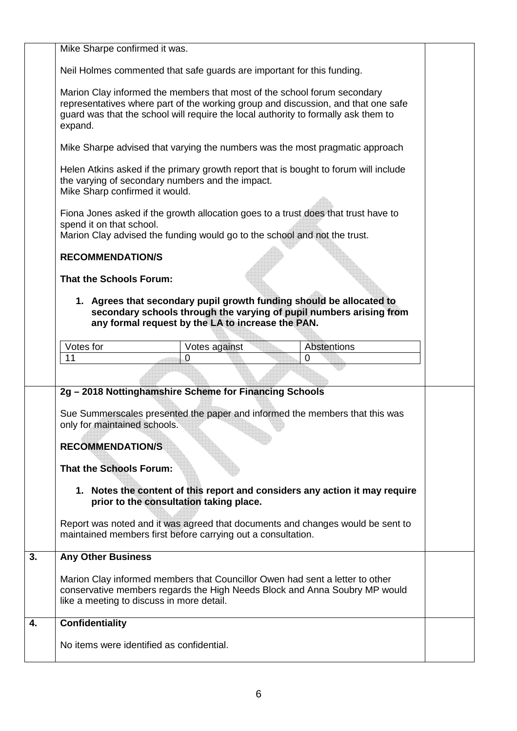|    | Mike Sharpe confirmed it was.                                                                                                                                                                                                                                                                                       |                                                                                                                                                                                  |                    |  |
|----|---------------------------------------------------------------------------------------------------------------------------------------------------------------------------------------------------------------------------------------------------------------------------------------------------------------------|----------------------------------------------------------------------------------------------------------------------------------------------------------------------------------|--------------------|--|
|    | Neil Holmes commented that safe guards are important for this funding.                                                                                                                                                                                                                                              |                                                                                                                                                                                  |                    |  |
|    | Marion Clay informed the members that most of the school forum secondary<br>representatives where part of the working group and discussion, and that one safe<br>guard was that the school will require the local authority to formally ask them to<br>expand.                                                      |                                                                                                                                                                                  |                    |  |
|    | Mike Sharpe advised that varying the numbers was the most pragmatic approach                                                                                                                                                                                                                                        |                                                                                                                                                                                  |                    |  |
|    | Helen Atkins asked if the primary growth report that is bought to forum will include<br>the varying of secondary numbers and the impact.<br>Mike Sharp confirmed it would.                                                                                                                                          |                                                                                                                                                                                  |                    |  |
|    | Fiona Jones asked if the growth allocation goes to a trust does that trust have to<br>spend it on that school.<br>Marion Clay advised the funding would go to the school and not the trust.                                                                                                                         |                                                                                                                                                                                  |                    |  |
|    | <b>RECOMMENDATION/S</b>                                                                                                                                                                                                                                                                                             |                                                                                                                                                                                  |                    |  |
|    | <b>That the Schools Forum:</b>                                                                                                                                                                                                                                                                                      |                                                                                                                                                                                  |                    |  |
|    | 1. Agrees that secondary pupil growth funding should be allocated to<br>secondary schools through the varying of pupil numbers arising from<br>any formal request by the LA to increase the PAN.                                                                                                                    |                                                                                                                                                                                  |                    |  |
|    | Votes for                                                                                                                                                                                                                                                                                                           | Votes against                                                                                                                                                                    | <b>Abstentions</b> |  |
|    | 11                                                                                                                                                                                                                                                                                                                  | 0                                                                                                                                                                                | 0                  |  |
|    |                                                                                                                                                                                                                                                                                                                     |                                                                                                                                                                                  |                    |  |
|    |                                                                                                                                                                                                                                                                                                                     |                                                                                                                                                                                  |                    |  |
|    | Sue Summerscales presented the paper and informed the members that this was<br>only for maintained schools.<br><b>RECOMMENDATION/S</b><br>That the Schools Forum:<br>Report was noted and it was agreed that documents and changes would be sent to<br>maintained members first before carrying out a consultation. | 2g - 2018 Nottinghamshire Scheme for Financing Schools<br>1. Notes the content of this report and considers any action it may require<br>prior to the consultation taking place. |                    |  |
| 3. | <b>Any Other Business</b>                                                                                                                                                                                                                                                                                           |                                                                                                                                                                                  |                    |  |
|    | Marion Clay informed members that Councillor Owen had sent a letter to other<br>conservative members regards the High Needs Block and Anna Soubry MP would<br>like a meeting to discuss in more detail.                                                                                                             |                                                                                                                                                                                  |                    |  |
| 4. | <b>Confidentiality</b>                                                                                                                                                                                                                                                                                              |                                                                                                                                                                                  |                    |  |